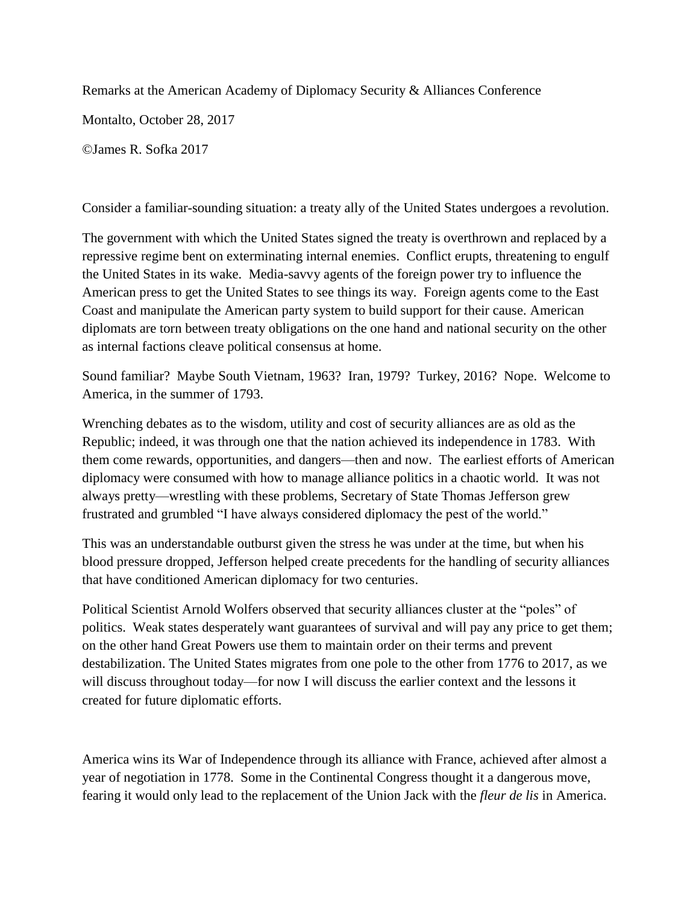Remarks at the American Academy of Diplomacy Security & Alliances Conference

Montalto, October 28, 2017

©James R. Sofka 2017

Consider a familiar-sounding situation: a treaty ally of the United States undergoes a revolution.

The government with which the United States signed the treaty is overthrown and replaced by a repressive regime bent on exterminating internal enemies. Conflict erupts, threatening to engulf the United States in its wake. Media-savvy agents of the foreign power try to influence the American press to get the United States to see things its way. Foreign agents come to the East Coast and manipulate the American party system to build support for their cause. American diplomats are torn between treaty obligations on the one hand and national security on the other as internal factions cleave political consensus at home.

Sound familiar? Maybe South Vietnam, 1963? Iran, 1979? Turkey, 2016? Nope. Welcome to America, in the summer of 1793.

Wrenching debates as to the wisdom, utility and cost of security alliances are as old as the Republic; indeed, it was through one that the nation achieved its independence in 1783. With them come rewards, opportunities, and dangers—then and now. The earliest efforts of American diplomacy were consumed with how to manage alliance politics in a chaotic world. It was not always pretty—wrestling with these problems, Secretary of State Thomas Jefferson grew frustrated and grumbled "I have always considered diplomacy the pest of the world."

This was an understandable outburst given the stress he was under at the time, but when his blood pressure dropped, Jefferson helped create precedents for the handling of security alliances that have conditioned American diplomacy for two centuries.

Political Scientist Arnold Wolfers observed that security alliances cluster at the "poles" of politics. Weak states desperately want guarantees of survival and will pay any price to get them; on the other hand Great Powers use them to maintain order on their terms and prevent destabilization. The United States migrates from one pole to the other from 1776 to 2017, as we will discuss throughout today—for now I will discuss the earlier context and the lessons it created for future diplomatic efforts.

America wins its War of Independence through its alliance with France, achieved after almost a year of negotiation in 1778. Some in the Continental Congress thought it a dangerous move, fearing it would only lead to the replacement of the Union Jack with the *fleur de lis* in America.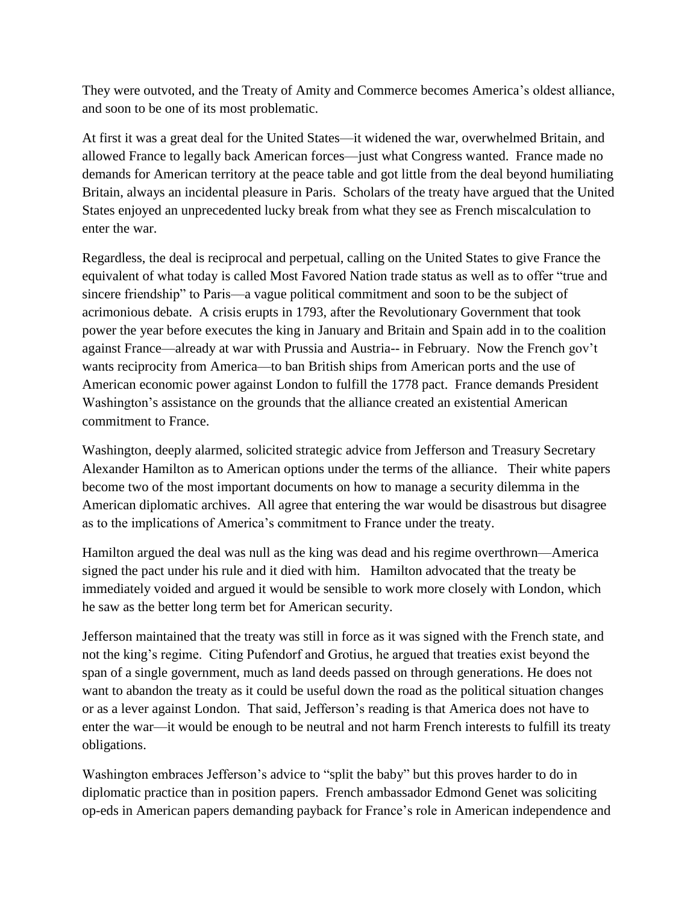They were outvoted, and the Treaty of Amity and Commerce becomes America's oldest alliance, and soon to be one of its most problematic.

At first it was a great deal for the United States—it widened the war, overwhelmed Britain, and allowed France to legally back American forces—just what Congress wanted. France made no demands for American territory at the peace table and got little from the deal beyond humiliating Britain, always an incidental pleasure in Paris. Scholars of the treaty have argued that the United States enjoyed an unprecedented lucky break from what they see as French miscalculation to enter the war.

Regardless, the deal is reciprocal and perpetual, calling on the United States to give France the equivalent of what today is called Most Favored Nation trade status as well as to offer "true and sincere friendship" to Paris—a vague political commitment and soon to be the subject of acrimonious debate. A crisis erupts in 1793, after the Revolutionary Government that took power the year before executes the king in January and Britain and Spain add in to the coalition against France—already at war with Prussia and Austria-- in February. Now the French gov't wants reciprocity from America—to ban British ships from American ports and the use of American economic power against London to fulfill the 1778 pact. France demands President Washington's assistance on the grounds that the alliance created an existential American commitment to France.

Washington, deeply alarmed, solicited strategic advice from Jefferson and Treasury Secretary Alexander Hamilton as to American options under the terms of the alliance. Their white papers become two of the most important documents on how to manage a security dilemma in the American diplomatic archives. All agree that entering the war would be disastrous but disagree as to the implications of America's commitment to France under the treaty.

Hamilton argued the deal was null as the king was dead and his regime overthrown—America signed the pact under his rule and it died with him. Hamilton advocated that the treaty be immediately voided and argued it would be sensible to work more closely with London, which he saw as the better long term bet for American security.

Jefferson maintained that the treaty was still in force as it was signed with the French state, and not the king's regime. Citing Pufendorf and Grotius, he argued that treaties exist beyond the span of a single government, much as land deeds passed on through generations. He does not want to abandon the treaty as it could be useful down the road as the political situation changes or as a lever against London. That said, Jefferson's reading is that America does not have to enter the war—it would be enough to be neutral and not harm French interests to fulfill its treaty obligations.

Washington embraces Jefferson's advice to "split the baby" but this proves harder to do in diplomatic practice than in position papers. French ambassador Edmond Genet was soliciting op-eds in American papers demanding payback for France's role in American independence and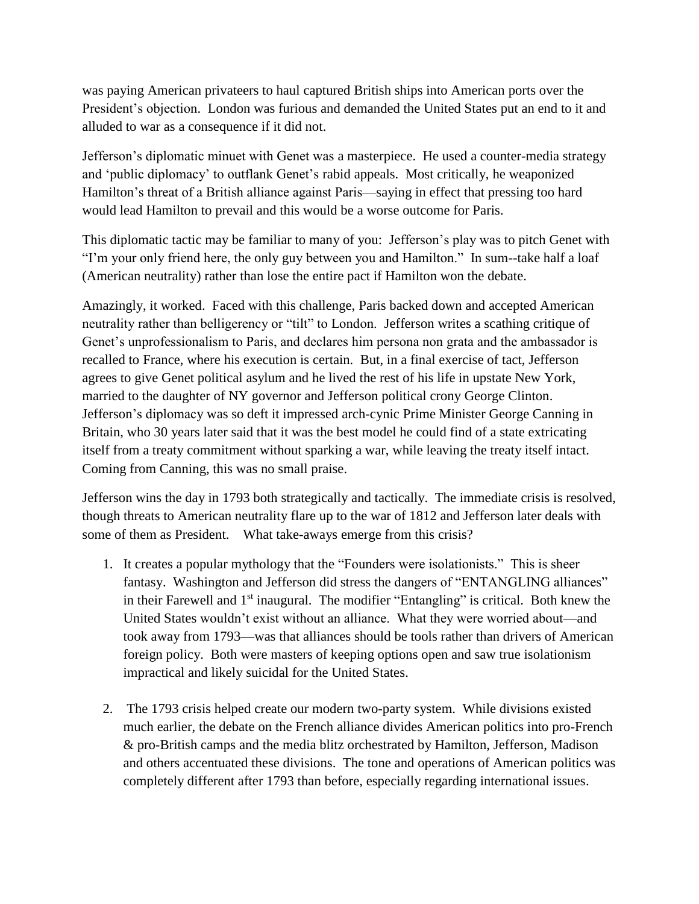was paying American privateers to haul captured British ships into American ports over the President's objection. London was furious and demanded the United States put an end to it and alluded to war as a consequence if it did not.

Jefferson's diplomatic minuet with Genet was a masterpiece. He used a counter-media strategy and 'public diplomacy' to outflank Genet's rabid appeals. Most critically, he weaponized Hamilton's threat of a British alliance against Paris—saying in effect that pressing too hard would lead Hamilton to prevail and this would be a worse outcome for Paris.

This diplomatic tactic may be familiar to many of you: Jefferson's play was to pitch Genet with "I'm your only friend here, the only guy between you and Hamilton." In sum--take half a loaf (American neutrality) rather than lose the entire pact if Hamilton won the debate.

Amazingly, it worked. Faced with this challenge, Paris backed down and accepted American neutrality rather than belligerency or "tilt" to London. Jefferson writes a scathing critique of Genet's unprofessionalism to Paris, and declares him persona non grata and the ambassador is recalled to France, where his execution is certain. But, in a final exercise of tact, Jefferson agrees to give Genet political asylum and he lived the rest of his life in upstate New York, married to the daughter of NY governor and Jefferson political crony George Clinton. Jefferson's diplomacy was so deft it impressed arch-cynic Prime Minister George Canning in Britain, who 30 years later said that it was the best model he could find of a state extricating itself from a treaty commitment without sparking a war, while leaving the treaty itself intact. Coming from Canning, this was no small praise.

Jefferson wins the day in 1793 both strategically and tactically. The immediate crisis is resolved, though threats to American neutrality flare up to the war of 1812 and Jefferson later deals with some of them as President. What take-aways emerge from this crisis?

- 1. It creates a popular mythology that the "Founders were isolationists." This is sheer fantasy. Washington and Jefferson did stress the dangers of "ENTANGLING alliances" in their Farewell and  $1<sup>st</sup>$  inaugural. The modifier "Entangling" is critical. Both knew the United States wouldn't exist without an alliance. What they were worried about—and took away from 1793—was that alliances should be tools rather than drivers of American foreign policy. Both were masters of keeping options open and saw true isolationism impractical and likely suicidal for the United States.
- 2. The 1793 crisis helped create our modern two-party system. While divisions existed much earlier, the debate on the French alliance divides American politics into pro-French & pro-British camps and the media blitz orchestrated by Hamilton, Jefferson, Madison and others accentuated these divisions. The tone and operations of American politics was completely different after 1793 than before, especially regarding international issues.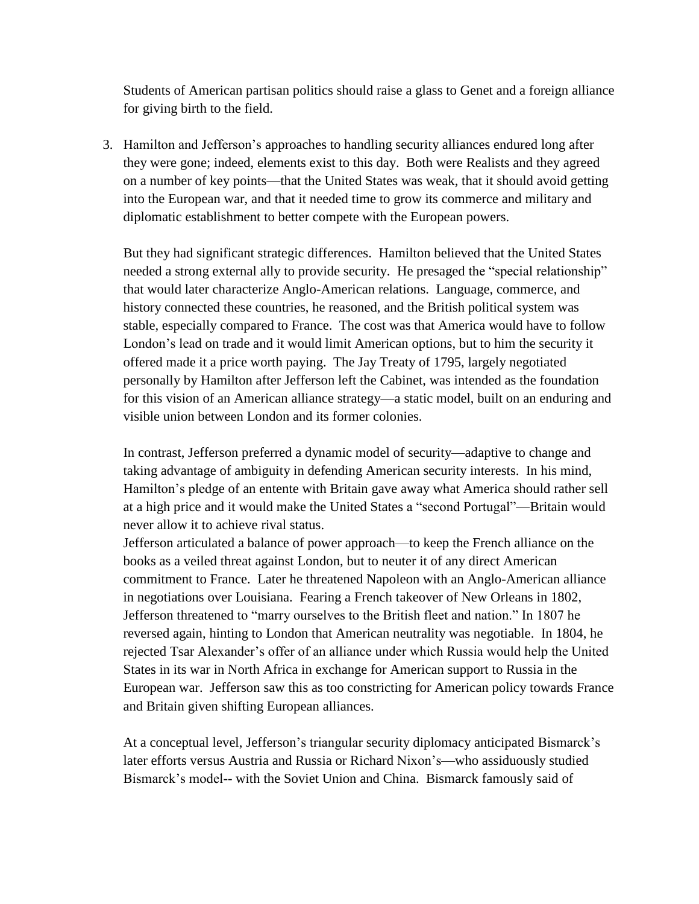Students of American partisan politics should raise a glass to Genet and a foreign alliance for giving birth to the field.

3. Hamilton and Jefferson's approaches to handling security alliances endured long after they were gone; indeed, elements exist to this day. Both were Realists and they agreed on a number of key points—that the United States was weak, that it should avoid getting into the European war, and that it needed time to grow its commerce and military and diplomatic establishment to better compete with the European powers.

But they had significant strategic differences. Hamilton believed that the United States needed a strong external ally to provide security. He presaged the "special relationship" that would later characterize Anglo-American relations. Language, commerce, and history connected these countries, he reasoned, and the British political system was stable, especially compared to France. The cost was that America would have to follow London's lead on trade and it would limit American options, but to him the security it offered made it a price worth paying. The Jay Treaty of 1795, largely negotiated personally by Hamilton after Jefferson left the Cabinet, was intended as the foundation for this vision of an American alliance strategy—a static model, built on an enduring and visible union between London and its former colonies.

In contrast, Jefferson preferred a dynamic model of security—adaptive to change and taking advantage of ambiguity in defending American security interests. In his mind, Hamilton's pledge of an entente with Britain gave away what America should rather sell at a high price and it would make the United States a "second Portugal"—Britain would never allow it to achieve rival status.

Jefferson articulated a balance of power approach—to keep the French alliance on the books as a veiled threat against London, but to neuter it of any direct American commitment to France. Later he threatened Napoleon with an Anglo-American alliance in negotiations over Louisiana. Fearing a French takeover of New Orleans in 1802, Jefferson threatened to "marry ourselves to the British fleet and nation." In 1807 he reversed again, hinting to London that American neutrality was negotiable. In 1804, he rejected Tsar Alexander's offer of an alliance under which Russia would help the United States in its war in North Africa in exchange for American support to Russia in the European war. Jefferson saw this as too constricting for American policy towards France and Britain given shifting European alliances.

At a conceptual level, Jefferson's triangular security diplomacy anticipated Bismarck's later efforts versus Austria and Russia or Richard Nixon's—who assiduously studied Bismarck's model-- with the Soviet Union and China. Bismarck famously said of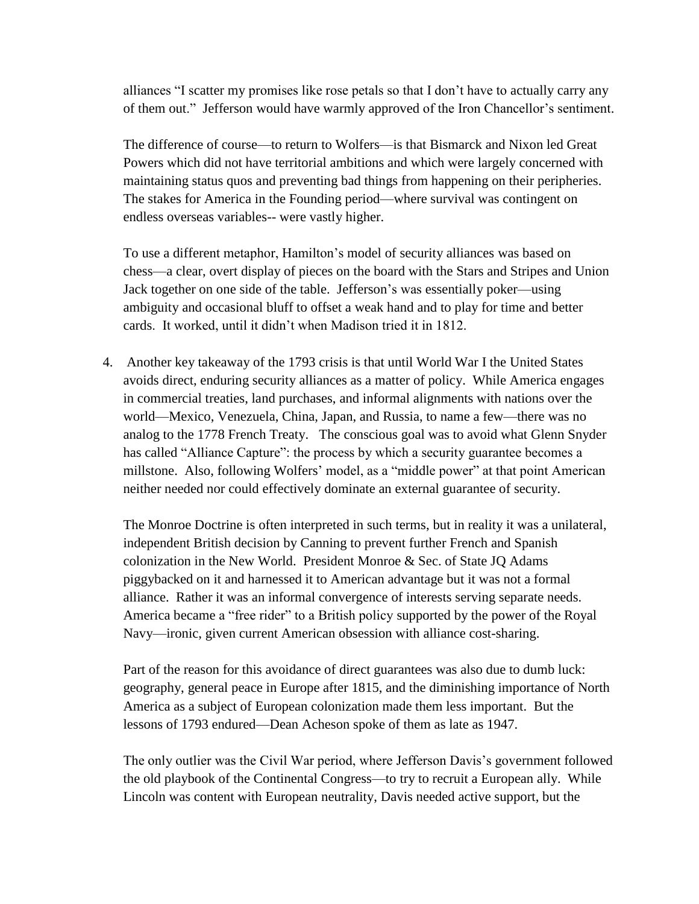alliances "I scatter my promises like rose petals so that I don't have to actually carry any of them out." Jefferson would have warmly approved of the Iron Chancellor's sentiment.

The difference of course—to return to Wolfers—is that Bismarck and Nixon led Great Powers which did not have territorial ambitions and which were largely concerned with maintaining status quos and preventing bad things from happening on their peripheries. The stakes for America in the Founding period—where survival was contingent on endless overseas variables-- were vastly higher.

To use a different metaphor, Hamilton's model of security alliances was based on chess—a clear, overt display of pieces on the board with the Stars and Stripes and Union Jack together on one side of the table. Jefferson's was essentially poker—using ambiguity and occasional bluff to offset a weak hand and to play for time and better cards. It worked, until it didn't when Madison tried it in 1812.

4. Another key takeaway of the 1793 crisis is that until World War I the United States avoids direct, enduring security alliances as a matter of policy. While America engages in commercial treaties, land purchases, and informal alignments with nations over the world—Mexico, Venezuela, China, Japan, and Russia, to name a few—there was no analog to the 1778 French Treaty. The conscious goal was to avoid what Glenn Snyder has called "Alliance Capture": the process by which a security guarantee becomes a millstone. Also, following Wolfers' model, as a "middle power" at that point American neither needed nor could effectively dominate an external guarantee of security.

The Monroe Doctrine is often interpreted in such terms, but in reality it was a unilateral, independent British decision by Canning to prevent further French and Spanish colonization in the New World. President Monroe & Sec. of State JQ Adams piggybacked on it and harnessed it to American advantage but it was not a formal alliance. Rather it was an informal convergence of interests serving separate needs. America became a "free rider" to a British policy supported by the power of the Royal Navy—ironic, given current American obsession with alliance cost-sharing.

Part of the reason for this avoidance of direct guarantees was also due to dumb luck: geography, general peace in Europe after 1815, and the diminishing importance of North America as a subject of European colonization made them less important. But the lessons of 1793 endured—Dean Acheson spoke of them as late as 1947.

The only outlier was the Civil War period, where Jefferson Davis's government followed the old playbook of the Continental Congress—to try to recruit a European ally. While Lincoln was content with European neutrality, Davis needed active support, but the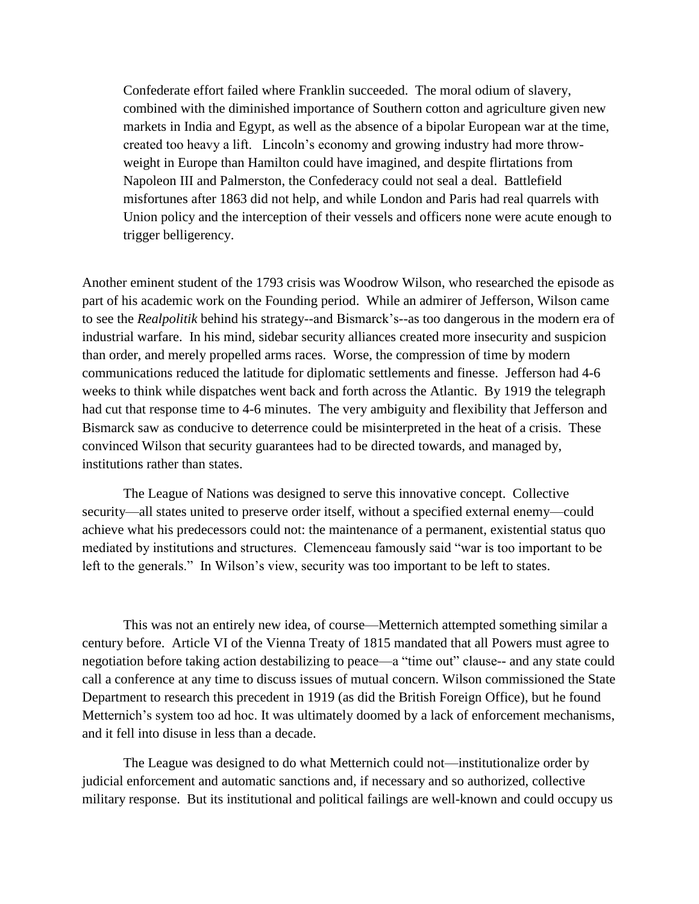Confederate effort failed where Franklin succeeded. The moral odium of slavery, combined with the diminished importance of Southern cotton and agriculture given new markets in India and Egypt, as well as the absence of a bipolar European war at the time, created too heavy a lift. Lincoln's economy and growing industry had more throwweight in Europe than Hamilton could have imagined, and despite flirtations from Napoleon III and Palmerston, the Confederacy could not seal a deal. Battlefield misfortunes after 1863 did not help, and while London and Paris had real quarrels with Union policy and the interception of their vessels and officers none were acute enough to trigger belligerency.

Another eminent student of the 1793 crisis was Woodrow Wilson, who researched the episode as part of his academic work on the Founding period. While an admirer of Jefferson, Wilson came to see the *Realpolitik* behind his strategy--and Bismarck's--as too dangerous in the modern era of industrial warfare. In his mind, sidebar security alliances created more insecurity and suspicion than order, and merely propelled arms races. Worse, the compression of time by modern communications reduced the latitude for diplomatic settlements and finesse. Jefferson had 4-6 weeks to think while dispatches went back and forth across the Atlantic. By 1919 the telegraph had cut that response time to 4-6 minutes. The very ambiguity and flexibility that Jefferson and Bismarck saw as conducive to deterrence could be misinterpreted in the heat of a crisis. These convinced Wilson that security guarantees had to be directed towards, and managed by, institutions rather than states.

The League of Nations was designed to serve this innovative concept. Collective security—all states united to preserve order itself, without a specified external enemy—could achieve what his predecessors could not: the maintenance of a permanent, existential status quo mediated by institutions and structures. Clemenceau famously said "war is too important to be left to the generals." In Wilson's view, security was too important to be left to states.

This was not an entirely new idea, of course—Metternich attempted something similar a century before. Article VI of the Vienna Treaty of 1815 mandated that all Powers must agree to negotiation before taking action destabilizing to peace—a "time out" clause-- and any state could call a conference at any time to discuss issues of mutual concern. Wilson commissioned the State Department to research this precedent in 1919 (as did the British Foreign Office), but he found Metternich's system too ad hoc. It was ultimately doomed by a lack of enforcement mechanisms, and it fell into disuse in less than a decade.

The League was designed to do what Metternich could not—institutionalize order by judicial enforcement and automatic sanctions and, if necessary and so authorized, collective military response. But its institutional and political failings are well-known and could occupy us